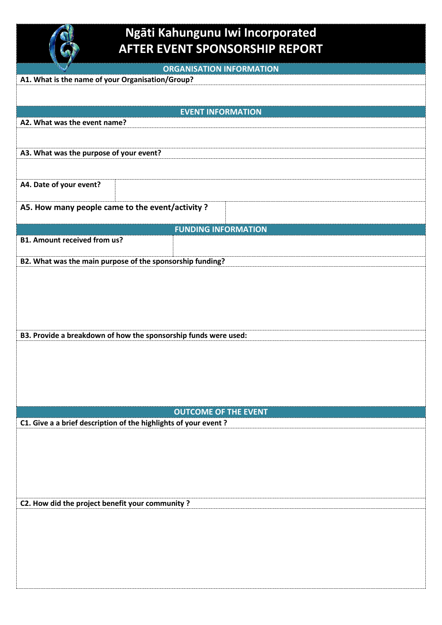

## **Ngāti Kahungunu Iwi Incorporated AFTER EVENT SPONSORSHIP REPORT**

|  | <b>ORGANISATION INFORMATION</b> |
|--|---------------------------------|
|  |                                 |

| A1. What is the name of your Organisation/Group? |                                                                 |  |  |  |
|--------------------------------------------------|-----------------------------------------------------------------|--|--|--|
|                                                  |                                                                 |  |  |  |
|                                                  | <b>EVENT INFORMATION</b>                                        |  |  |  |
| A2. What was the event name?                     |                                                                 |  |  |  |
|                                                  |                                                                 |  |  |  |
| A3. What was the purpose of your event?          |                                                                 |  |  |  |
|                                                  |                                                                 |  |  |  |
|                                                  |                                                                 |  |  |  |
| A4. Date of your event?                          |                                                                 |  |  |  |
|                                                  |                                                                 |  |  |  |
| A5. How many people came to the event/activity ? |                                                                 |  |  |  |
|                                                  | <b>FUNDING INFORMATION</b>                                      |  |  |  |
| <b>B1. Amount received from us?</b>              |                                                                 |  |  |  |
|                                                  |                                                                 |  |  |  |
|                                                  | B2. What was the main purpose of the sponsorship funding?       |  |  |  |
|                                                  |                                                                 |  |  |  |
|                                                  |                                                                 |  |  |  |
|                                                  |                                                                 |  |  |  |
|                                                  |                                                                 |  |  |  |
|                                                  |                                                                 |  |  |  |
|                                                  | B3. Provide a breakdown of how the sponsorship funds were used: |  |  |  |
|                                                  |                                                                 |  |  |  |
|                                                  |                                                                 |  |  |  |
|                                                  |                                                                 |  |  |  |
|                                                  |                                                                 |  |  |  |
|                                                  |                                                                 |  |  |  |
|                                                  |                                                                 |  |  |  |
|                                                  | <b>OUTCOME OF THE EVENT</b>                                     |  |  |  |
|                                                  | C1. Give a a brief description of the highlights of your event? |  |  |  |
|                                                  |                                                                 |  |  |  |
|                                                  |                                                                 |  |  |  |
|                                                  |                                                                 |  |  |  |
|                                                  |                                                                 |  |  |  |
|                                                  |                                                                 |  |  |  |
| C2. How did the project benefit your community?  |                                                                 |  |  |  |
|                                                  |                                                                 |  |  |  |
|                                                  |                                                                 |  |  |  |
|                                                  |                                                                 |  |  |  |
|                                                  |                                                                 |  |  |  |
|                                                  |                                                                 |  |  |  |
|                                                  |                                                                 |  |  |  |
|                                                  |                                                                 |  |  |  |
|                                                  |                                                                 |  |  |  |